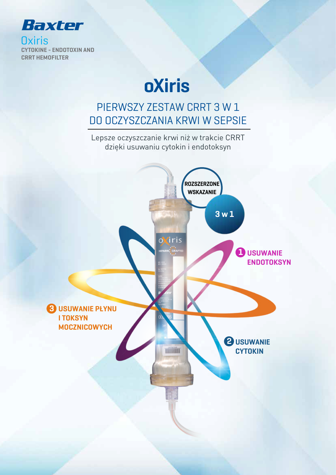

**Oxiris** CYTOKINE - ENDOTOXIN AND CRRT HEMOFILTER

# oXiris

## PIERWSZY ZESTAW CRRT 3 W 1 DO OCZYSZCZANIA KRWI W SEPSIE

Lepsze oczyszczanie krwi niż w trakcie CRRT dzięki usuwaniu cytokin i endotoksyn

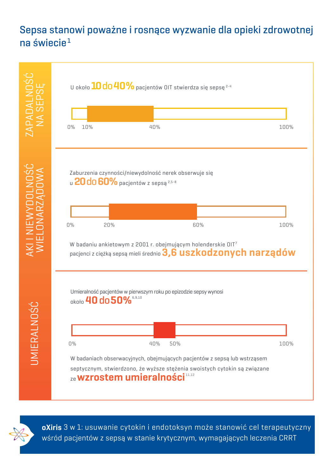#### Sepsa stanowi poważne i rosnące wyzwanie dla opieki zdrowotnej na świecie $1$  $\mathsf{source}^\mathbf{1}$  is a major and growing global healthcare challenge  $\mathsf{C}$  $S^2$  is a major and growing global healthcare challenge  $1$





oXiris 3 w 1: usuwanie cytokin i endotoksyn może stanowić cel terapeutyczny .<br>A therapeutic target for critical patients in patients in the sepsis requiring to the critical patients in the  $\mathcal{L}$  management with order with  $\mathcal{L}$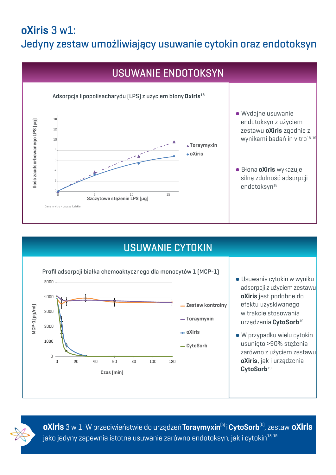## oXiris 3 w1: Jedyny zestaw umożliwiający usuwanie cytokin oraz endotoksyn



## LPS SPIKED (USUWANIE CYTOKIN

Control tubing

Control tubing

Control tubing



- $\parallel$   $\bullet$  Usuwanie cytokin w wyniku  $\parallel$  adsorpcji z użyciem zestawu **oXiris** jest podobne do  $\parallel$  efektu uzyskiwanego w trakcie stosowania urządzenia CytoSorb<sup>19</sup>
- $\blacksquare$   $\blacksquare$  W przypadku wielu cytokin | usunięto >90% stężenia  $\parallel$  zarówno z użyciem zestawu | **oXiris**, jak i urządzenia  $\blacksquare$ CytoSorb $^{19}$

5000

0

5000

0

5000

0

**oXiris** 3 w 1: W przeciwieństwie do urządzeń **Toraymyxin<sup>(a)</sup> i CytoSorb**<sup>(b)</sup>, zestaw **oXiris**  $\blacktriangleright$ jako jedyny zapewnia istotne usuwanie zarówno endotoksyn, jak i cytokin $^{18,19}$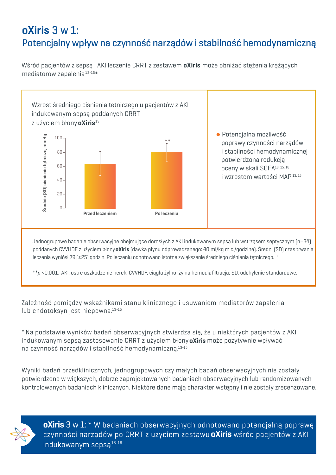## oXiris 3 w 1: Potencjalny wpływ na czynność narządów i stabilność hemodynamiczną

Wśród pacjentów z sepsą i AKI leczenie CRRT z zestawem **oXiris** może obniżać stężenia krążących mediatorów zapalenia $^{\rm 13\text{-}15\ast}$ 



Jednogrupowe badanie obserwacyjne obejmujące dorosłych z AKI indukowanym sepsą lub wstrząsem septycznym (n=34) poddanych CVVHDF z użyciem błony**oXiris** (dawka płynu odprowadzanego: 40 ml/kg m.c./godzinę). Średni (SD) czas trwania leczenia wyniósł 79 (±25) godzin. Po leczeniu odnotowano istotne zwiększenie średniego ciśnienia tętniczego. $^{13}$ 

 $\frac{1}{2}$  \*\*p <0.001. AKI, ostre uszkodzenie nerek; CVVHDF, ciągła żylno-żylna hemodiafiltracja; SD, odchylenie stanc

Zależność pomiędzy wskaźnikami stanu klinicznego i usuwaniem mediatorów zapalenia lub endotoksyn jest niepewna. $^{\rm 13\text{-}15}$ 

\* Na podstawie wyników badań obserwacyjnych stwierdza się, że u niektórych pacjentów z AKI indukowanym sepsą zastosowanie CRRT z użyciem błony**oXiris** może pozytywnie wpływać na czynność narządów i stabilność hemodynamiczną. $^{\rm 13\text{-}15}$ 

Wyniki badań przedklinicznych, jednogrupowych czy małych badań obserwacyjnych nie zostały potwierdzone w większych, dobrze zaprojektowanych badaniach obserwacyjnych lub randomizowanych kontrolowanych badaniach klinicznych. Niektóre dane mają charakter wstępny i nie zostały zrecenzowane.



**oXiris** 3 w 1: \* W badaniach obserwacyjnych odnotowano potencjalną poprawę czynności narządów po CRRT z użyciem zestawu **oXiris** wśród pacjentów z AKI **have been reported A**  $\blacksquare$ indukowanym sepsą $^{13\text{-}16}$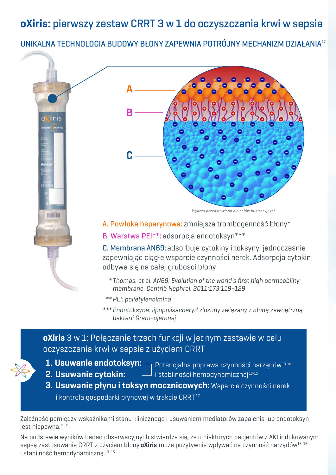oXiris: pierwszy zestaw CRRT 3 w 1 do oczyszczania krwi w sepsie

UNIKALNA TECHNOLOGIA BUDOWY BŁONY ZAPEWNIA POTRÓJNY MECHANIZM DZIAŁANIA17



- \* Thomas, et al. AN69: Evolution of the world's first high permeability \* Thomas, et al. AN69: Evolution of the world's first high permeability membrane. Contrib Nephrol. 2011;173:119–129 membrane. Contrib Nephrol. 2011;173:119–129
- \*\* PEI: polietylenoimina
- \*\*\* Endotoksyna: lipopolisacharyd zlożony związany z błoną zewnętrzną bakterii Gram-ujemnej

#### **oXiris** 3 w 1: Połączenie trzech funkcji w jednym zestawie w celu oczyszczania krwi w sepsie z użyciem CRRT



- $\boldsymbol{1}.$  Usuwanie endotoksyn:  $\boldsymbol{\mathsf{q}}$  Potencjalna poprawa czynności narządów $^\text{13-16}$
- 2. Usuwanie cytokin: The
- i stabilności hemodynamicznej 13-15
- 3. Usuwanie płynu i toksyn mocznicowych: Wsparcie czynności nerek i kontrola gospodarki płynowej w trakcie CRRT $^{\rm 17}$

Zależność pomiędzy wskaźnikami stanu klinicznego i usuwaniem mediatorów zapalenia lub endotoksyn jest niepewna.<sup>13-15</sup>

Na podstawie wyników badań obserwacyjnych stwierdza się, że u niektórych pacjentów z AKI indukowanym sepsą zastosowanie CRRT z użyciem błony **oXiris** może pozytywnie wpływać na czynność narządów<sup>13-16</sup> i stabilność hemodynamiczną.13-15